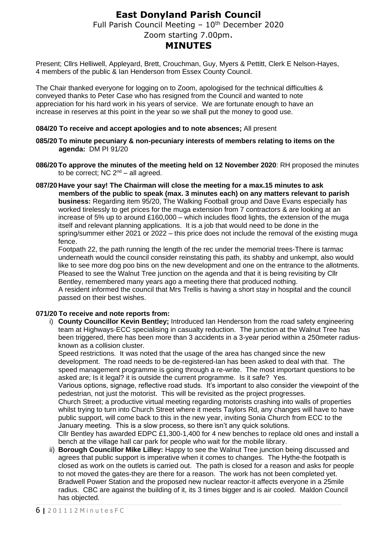## **East Donyland Parish Council** Full Parish Council Meeting  $-10^{th}$  December 2020 Zoom starting 7.00pm. **MINUTES**

Present; Cllrs Helliwell, Appleyard, Brett, Crouchman, Guy, Myers & Pettitt, Clerk E Nelson-Hayes, 4 members of the public & Ian Henderson from Essex County Council.

The Chair thanked everyone for logging on to Zoom, apologised for the technical difficulties & conveyed thanks to Peter Case who has resigned from the Council and wanted to note appreciation for his hard work in his years of service. We are fortunate enough to have an increase in reserves at this point in the year so we shall put the money to good use.

#### **084/20 To receive and accept apologies and to note absences;** All present

- **085/20 To minute pecuniary & non-pecuniary interests of members relating to items on the agenda:** DM PI 91/20
- **086/20To approve the minutes of the meeting held on 12 November 2020**: RH proposed the minutes to be correct; NC  $2<sup>nd</sup> - all agreed$ .
- **087/20 Have your say! The Chairman will close the meeting for a max.15 minutes to ask members of the public to speak (max. 3 minutes each) on any matters relevant to parish business:** Regarding item 95/20, The Walking Football group and Dave Evans especially has worked tirelessly to get prices for the muga extension from 7 contractors & are looking at an increase of 5% up to around £160,000 – which includes flood lights, the extension of the muga itself and relevant planning applications. It is a job that would need to be done in the spring/summer either 2021 or 2022 – this price does not include the removal of the existing muga fence.

Footpath 22, the path running the length of the rec under the memorial trees-There is tarmac underneath would the council consider reinstating this path, its shabby and unkempt, also would like to see more dog poo bins on the new development and one on the entrance to the allotments. Pleased to see the Walnut Tree junction on the agenda and that it is being revisiting by Cllr Bentley, remembered many years ago a meeting there that produced nothing. A resident informed the council that Mrs Trellis is having a short stay in hospital and the council passed on their best wishes.

### **071/20 To receive and note reports from:**

i) **County Councillor Kevin Bentley;** Introduced Ian Henderson from the road safety engineering team at Highways-ECC specialising in casualty reduction. The junction at the Walnut Tree has been triggered, there has been more than 3 accidents in a 3-year period within a 250meter radiusknown as a collision cluster.

Speed restrictions. It was noted that the usage of the area has changed since the new development. The road needs to be de-registered-Ian has been asked to deal with that. The speed management programme is going through a re-write. The most important questions to be asked are; Is it legal? it is outside the current programme. Is it safe? Yes.

Various options, signage, reflective road studs. It's important to also consider the viewpoint of the pedestrian, not just the motorist. This will be revisited as the project progresses.

Church Street; a productive virtual meeting regarding motorists crashing into walls of properties whilst trying to turn into Church Street where it meets Taylors Rd, any changes will have to have public support, will come back to this in the new year, inviting Sonia Church from ECC to the January meeting. This is a slow process, so there isn't any quick solutions.

Cllr Bentley has awarded EDPC £1,300-1,400 for 4 new benches to replace old ones and install a bench at the village hall car park for people who wait for the mobile library.

ii) **Borough Councillor Mike Lilley:** Happy to see the Walnut Tree junction being discussed and agrees that public support is imperative when it comes to changes. The Hythe-the footpath is closed as work on the outlets is carried out. The path is closed for a reason and asks for people to not moved the gates-they are there for a reason. The work has not been completed yet. Bradwell Power Station and the proposed new nuclear reactor-it affects everyone in a 25mile radius. CBC are against the building of it, its 3 times bigger and is air cooled. Maldon Council has objected.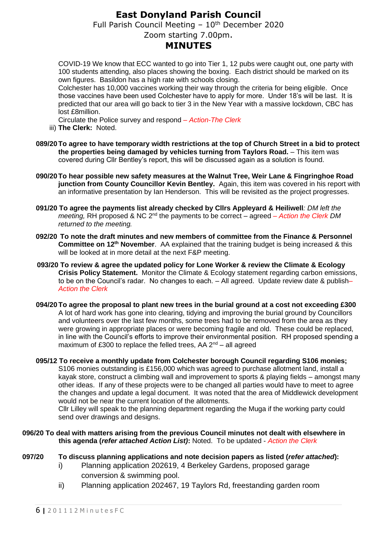## **East Donyland Parish Council**

Full Parish Council Meeting  $-10^{th}$  December 2020

### Zoom starting 7.00pm.

## **MINUTES**

COVID-19 We know that ECC wanted to go into Tier 1, 12 pubs were caught out, one party with 100 students attending, also places showing the boxing. Each district should be marked on its own figures. Basildon has a high rate with schools closing.

Colchester has 10,000 vaccines working their way through the criteria for being eligible. Once those vaccines have been used Colchester have to apply for more. Under 18's will be last. It is predicted that our area will go back to tier 3 in the New Year with a massive lockdown, CBC has lost £8million.

Circulate the Police survey and respond *– Action-The Clerk*

- iii) **The Clerk:** Noted.
- **089/20To agree to have temporary width restrictions at the top of Church Street in a bid to protect the properties being damaged by vehicles turning from Taylors Road.** – This item was covered during Cllr Bentley's report, this will be discussed again as a solution is found.
- **090/20To hear possible new safety measures at the Walnut Tree, Weir Lane & Fingringhoe Road junction from County Councillor Kevin Bentley.** Again, this item was covered in his report with an informative presentation by Ian Henderson. This will be revisited as the project progresses.
- **091/20 To agree the payments list already checked by Cllrs Appleyard & Heiliwell***: DM left the*  meeting, RH proposed & NC 2<sup>nd</sup> the payments to be correct – agreed – Action the Clerk DM *returned to the meeting.*
- **092/20 To note the draft minutes and new members of committee from the Finance & Personnel Committee on 12th November**. AA explained that the training budget is being increased & this will be looked at in more detail at the next F&P meeting.
- **093/20 To review & agree the updated policy for Lone Worker & review the Climate & Ecology Crisis Policy Statement.** Monitor the Climate & Ecology statement regarding carbon emissions, to be on the Council's radar. No changes to each. – All agreed. Update review date & publish*– Action the Clerk*
- **094/20 To agree the proposal to plant new trees in the burial ground at a cost not exceeding £300**  A lot of hard work has gone into clearing, tidying and improving the burial ground by Councillors and volunteers over the last few months, some trees had to be removed from the area as they were growing in appropriate places or were becoming fragile and old. These could be replaced, in line with the Council's efforts to improve their environmental position. RH proposed spending a maximum of £300 to replace the felled trees, AA  $2^{nd}$  – all agreed
- **095/12 To receive a monthly update from Colchester borough Council regarding S106 monies;**  S106 monies outstanding is £156,000 which was agreed to purchase allotment land, install a kayak store, construct a climbing wall and improvement to sports & playing fields – amongst many other ideas. If any of these projects were to be changed all parties would have to meet to agree the changes and update a legal document. It was noted that the area of Middlewick development

would not be near the current location of the allotments. Cllr Lilley will speak to the planning department regarding the Muga if the working party could

send over drawings and designs.

#### **096/20 To deal with matters arising from the previous Council minutes not dealt with elsewhere in this agenda (***refer attached Action List)***:** Noted. To be updated - *Action the Clerk*

- **097/20 To discuss planning applications and note decision papers as listed (***refer attached***):**
	- i) Planning application 202619, 4 Berkeley Gardens, proposed garage conversion & swimming pool.
	- ii) Planning application 202467, 19 Taylors Rd, freestanding garden room